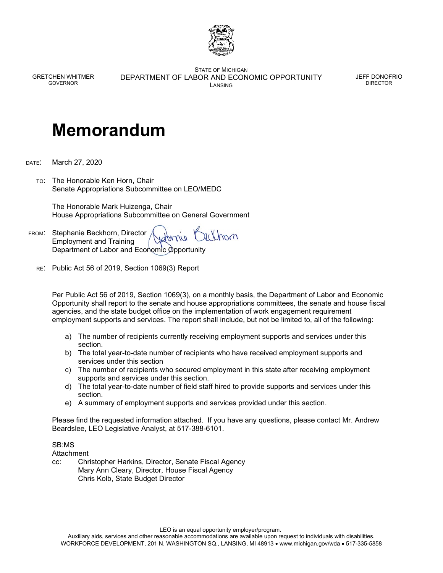

GRETCHEN WHITMER GOVERNOR

STATE OF MICHIGAN DEPARTMENT OF LABOR AND ECONOMIC OPPORTUNITY LANSING

JEFF DONOFRIO DIRECTOR

## **Memorandum**

DATE: March 27, 2020

TO: The Honorable Ken Horn, Chair Senate Appropriations Subcommittee on LEO/MEDC

 The Honorable Mark Huizenga, Chair House Appropriations Subcommittee on General Government

rendrom FROM: Stephanie Beckhorn, Director Employment and Training Department of Labor and Economic Opportunity

RE: Public Act 56 of 2019, Section 1069(3) Report

Per Public Act 56 of 2019, Section 1069(3), on a monthly basis, the Department of Labor and Economic Opportunity shall report to the senate and house appropriations committees, the senate and house fiscal agencies, and the state budget office on the implementation of work engagement requirement employment supports and services. The report shall include, but not be limited to, all of the following:

- a) The number of recipients currently receiving employment supports and services under this section.
- b) The total year-to-date number of recipients who have received employment supports and services under this section
- c) The number of recipients who secured employment in this state after receiving employment supports and services under this section.
- d) The total year-to-date number of field staff hired to provide supports and services under this section.
- e) A summary of employment supports and services provided under this section.

Please find the requested information attached. If you have any questions, please contact Mr. Andrew Beardslee, LEO Legislative Analyst, at 517-388-6101.

## SB:MS

Attachment

cc: Christopher Harkins, Director, Senate Fiscal Agency Mary Ann Cleary, Director, House Fiscal Agency Chris Kolb, State Budget Director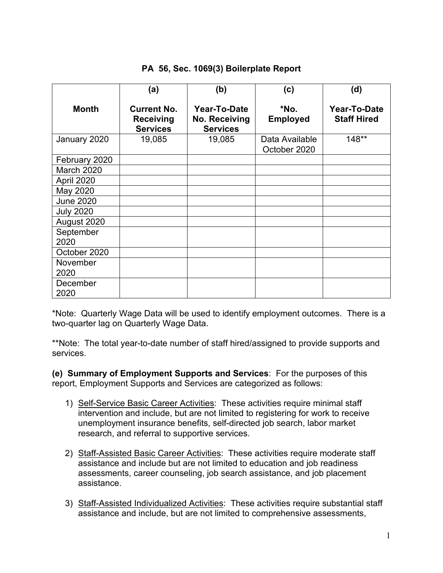## **PA 56, Sec. 1069(3) Boilerplate Report**

|                   | (a)                                                       | (b)                                                     | (c)                            | (d)                                |
|-------------------|-----------------------------------------------------------|---------------------------------------------------------|--------------------------------|------------------------------------|
| <b>Month</b>      | <b>Current No.</b><br><b>Receiving</b><br><b>Services</b> | Year-To-Date<br><b>No. Receiving</b><br><b>Services</b> | *No.<br><b>Employed</b>        | Year-To-Date<br><b>Staff Hired</b> |
| January 2020      | 19,085                                                    | 19,085                                                  | Data Available<br>October 2020 | $148**$                            |
| February 2020     |                                                           |                                                         |                                |                                    |
| March 2020        |                                                           |                                                         |                                |                                    |
| April 2020        |                                                           |                                                         |                                |                                    |
| May 2020          |                                                           |                                                         |                                |                                    |
| <b>June 2020</b>  |                                                           |                                                         |                                |                                    |
| <b>July 2020</b>  |                                                           |                                                         |                                |                                    |
| August 2020       |                                                           |                                                         |                                |                                    |
| September<br>2020 |                                                           |                                                         |                                |                                    |
| October 2020      |                                                           |                                                         |                                |                                    |
| November<br>2020  |                                                           |                                                         |                                |                                    |
| December<br>2020  |                                                           |                                                         |                                |                                    |

\*Note: Quarterly Wage Data will be used to identify employment outcomes. There is a two-quarter lag on Quarterly Wage Data.

\*\*Note: The total year-to-date number of staff hired/assigned to provide supports and services.

**(e) Summary of Employment Supports and Services**: For the purposes of this report, Employment Supports and Services are categorized as follows:

- 1) Self-Service Basic Career Activities: These activities require minimal staff intervention and include, but are not limited to registering for work to receive unemployment insurance benefits, self-directed job search, labor market research, and referral to supportive services.
- 2) Staff-Assisted Basic Career Activities: These activities require moderate staff assistance and include but are not limited to education and job readiness assessments, career counseling, job search assistance, and job placement assistance.
- 3) Staff-Assisted Individualized Activities: These activities require substantial staff assistance and include, but are not limited to comprehensive assessments,